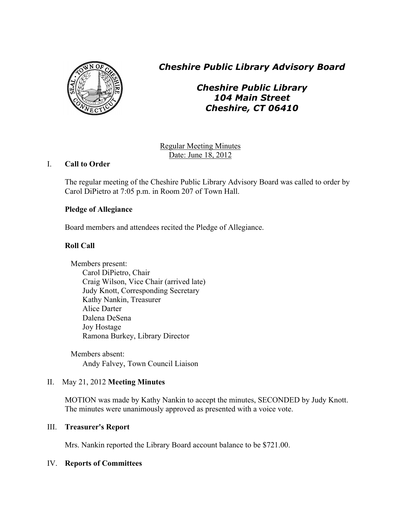

*Cheshire Public Library Advisory Board*

*Cheshire Public Library 104 Main Street Cheshire, CT 06410*

Regular Meeting Minutes Date: June 18, 2012

# I. **Call to Order**

The regular meeting of the Cheshire Public Library Advisory Board was called to order by Carol DiPietro at 7:05 p.m. in Room 207 of Town Hall.

# **Pledge of Allegiance**

Board members and attendees recited the Pledge of Allegiance.

# **Roll Call**

Members present: Carol DiPietro, Chair Craig Wilson, Vice Chair (arrived late) Judy Knott, Corresponding Secretary Kathy Nankin, Treasurer Alice Darter Dalena DeSena Joy Hostage Ramona Burkey, Library Director

Members absent: Andy Falvey, Town Council Liaison

# II. May 21, 2012 **Meeting Minutes**

MOTION was made by Kathy Nankin to accept the minutes, SECONDED by Judy Knott. The minutes were unanimously approved as presented with a voice vote.

# III. **Treasurer's Report**

Mrs. Nankin reported the Library Board account balance to be \$721.00.

# IV. **Reports of Committees**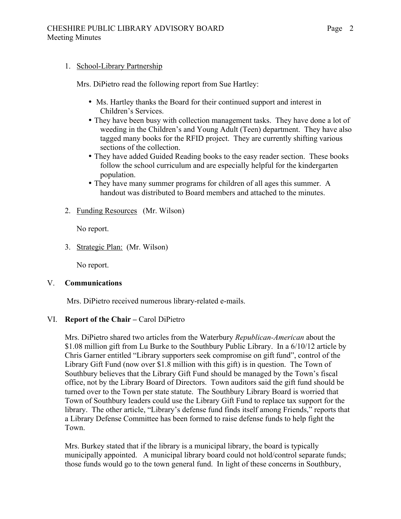1. School-Library Partnership

Mrs. DiPietro read the following report from Sue Hartley:

- Ms. Hartley thanks the Board for their continued support and interest in Children's Services.
- They have been busy with collection management tasks. They have done a lot of weeding in the Children's and Young Adult (Teen) department. They have also tagged many books for the RFID project. They are currently shifting various sections of the collection.
- They have added Guided Reading books to the easy reader section. These books follow the school curriculum and are especially helpful for the kindergarten population.
- They have many summer programs for children of all ages this summer. A handout was distributed to Board members and attached to the minutes.
- 2. Funding Resources (Mr. Wilson)

No report.

3. Strategic Plan: (Mr. Wilson)

No report.

# V. **Communications**

Mrs. DiPietro received numerous library-related e-mails.

# VI. **Report of the Chair –** Carol DiPietro

Mrs. DiPietro shared two articles from the Waterbury *Republican-American* about the \$1.08 million gift from Lu Burke to the Southbury Public Library. In a 6/10/12 article by Chris Garner entitled "Library supporters seek compromise on gift fund", control of the Library Gift Fund (now over \$1.8 million with this gift) is in question. The Town of Southbury believes that the Library Gift Fund should be managed by the Town's fiscal office, not by the Library Board of Directors. Town auditors said the gift fund should be turned over to the Town per state statute. The Southbury Library Board is worried that Town of Southbury leaders could use the Library Gift Fund to replace tax support for the library. The other article, "Library's defense fund finds itself among Friends," reports that a Library Defense Committee has been formed to raise defense funds to help fight the Town.

 Mrs. Burkey stated that if the library is a municipal library, the board is typically municipally appointed. A municipal library board could not hold/control separate funds; those funds would go to the town general fund. In light of these concerns in Southbury,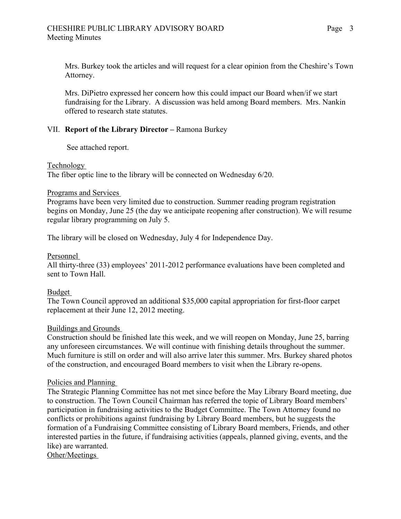Mrs. Burkey took the articles and will request for a clear opinion from the Cheshire's Town Attorney.

 Mrs. DiPietro expressed her concern how this could impact our Board when/if we start fundraising for the Library. A discussion was held among Board members. Mrs. Nankin offered to research state statutes.

### VII. **Report of the Library Director –** Ramona Burkey

See attached report.

Technology

The fiber optic line to the library will be connected on Wednesday 6/20.

#### Programs and Services

Programs have been very limited due to construction. Summer reading program registration begins on Monday, June 25 (the day we anticipate reopening after construction). We will resume regular library programming on July 5.

The library will be closed on Wednesday, July 4 for Independence Day.

### Personnel

All thirty-three (33) employees' 2011-2012 performance evaluations have been completed and sent to Town Hall.

#### Budget

The Town Council approved an additional \$35,000 capital appropriation for first-floor carpet replacement at their June 12, 2012 meeting.

# Buildings and Grounds

Construction should be finished late this week, and we will reopen on Monday, June 25, barring any unforeseen circumstances. We will continue with finishing details throughout the summer. Much furniture is still on order and will also arrive later this summer. Mrs. Burkey shared photos of the construction, and encouraged Board members to visit when the Library re-opens.

#### Policies and Planning

The Strategic Planning Committee has not met since before the May Library Board meeting, due to construction. The Town Council Chairman has referred the topic of Library Board members' participation in fundraising activities to the Budget Committee. The Town Attorney found no conflicts or prohibitions against fundraising by Library Board members, but he suggests the formation of a Fundraising Committee consisting of Library Board members, Friends, and other interested parties in the future, if fundraising activities (appeals, planned giving, events, and the like) are warranted.

Other/Meetings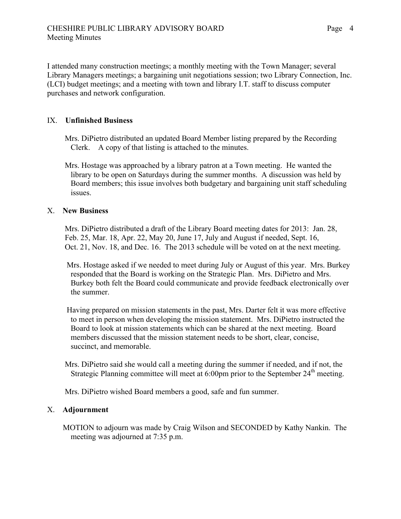I attended many construction meetings; a monthly meeting with the Town Manager; several Library Managers meetings; a bargaining unit negotiations session; two Library Connection, Inc. (LCI) budget meetings; and a meeting with town and library I.T. staff to discuss computer purchases and network configuration.

### IX. **Unfinished Business**

Mrs. DiPietro distributed an updated Board Member listing prepared by the Recording Clerk. A copy of that listing is attached to the minutes.

Mrs. Hostage was approached by a library patron at a Town meeting. He wanted the library to be open on Saturdays during the summer months. A discussion was held by Board members; this issue involves both budgetary and bargaining unit staff scheduling issues.

#### X. **New Business**

Mrs. DiPietro distributed a draft of the Library Board meeting dates for 2013: Jan. 28, Feb. 25, Mar. 18, Apr. 22, May 20, June 17, July and August if needed, Sept. 16, Oct. 21, Nov. 18, and Dec. 16. The 2013 schedule will be voted on at the next meeting.

 Mrs. Hostage asked if we needed to meet during July or August of this year. Mrs. Burkey responded that the Board is working on the Strategic Plan. Mrs. DiPietro and Mrs. Burkey both felt the Board could communicate and provide feedback electronically over the summer.

 Having prepared on mission statements in the past, Mrs. Darter felt it was more effective to meet in person when developing the mission statement. Mrs. DiPietro instructed the Board to look at mission statements which can be shared at the next meeting. Board members discussed that the mission statement needs to be short, clear, concise, succinct, and memorable.

 Mrs. DiPietro said she would call a meeting during the summer if needed, and if not, the Strategic Planning committee will meet at  $6:00$  pm prior to the September  $24<sup>th</sup>$  meeting.

Mrs. DiPietro wished Board members a good, safe and fun summer.

#### X. **Adjournment**

 MOTION to adjourn was made by Craig Wilson and SECONDED by Kathy Nankin. The meeting was adjourned at 7:35 p.m.